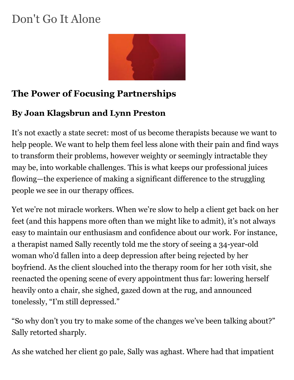# Don't Go It Alone



### **The Power of Focusing Partnerships**

#### **By Joan Klagsbrun and Lynn Preston**

It's not exactly a state secret: most of us become therapists because we want to help people. We want to help them feel less alone with their pain and find ways to transform their problems, however weighty or seemingly intractable they may be, into workable challenges. This is what keeps our professional juices flowing—the experience of making a significant difference to the struggling people we see in our therapy offices.

Yet we're not miracle workers. When we're slow to help a client get back on her feet (and this happens more often than we might like to admit), it's not always easy to maintain our enthusiasm and confidence about our work. For instance, a therapist named Sally recently told me the story of seeing a 34-year-old woman who'd fallen into a deep depression after being rejected by her boyfriend. As the client slouched into the therapy room for her 10th visit, she reenacted the opening scene of every appointment thus far: lowering herself heavily onto a chair, she sighed, gazed down at the rug, and announced tonelessly, "I'm still depressed."

"So why don't you try to make some of the changes we've been talking about?" Sally retorted sharply.

As she watched her client go pale, Sally was aghast. Where had that impatient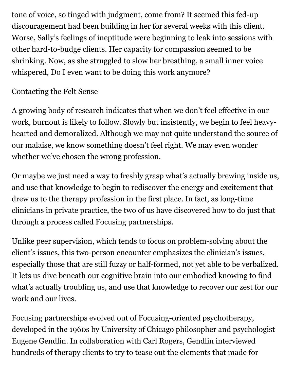tone of voice, so tinged with judgment, come from? It seemed this fed-up discouragement had been building in her for several weeks with this client. Worse, Sally's feelings of ineptitude were beginning to leak into sessions with other hard-to-budge clients. Her capacity for compassion seemed to be shrinking. Now, as she struggled to slow her breathing, a small inner voice whispered, Do I even want to be doing this work anymore?

#### Contacting the Felt Sense

A growing body of research indicates that when we don't feel effective in our work, burnout is likely to follow. Slowly but insistently, we begin to feel heavyhearted and demoralized. Although we may not quite understand the source of our malaise, we know something doesn't feel right. We may even wonder whether we've chosen the wrong profession.

Or maybe we just need a way to freshly grasp what's actually brewing inside us, and use that knowledge to begin to rediscover the energy and excitement that drew us to the therapy profession in the first place. In fact, as long-time clinicians in private practice, the two of us have discovered how to do just that through a process called Focusing partnerships.

Unlike peer supervision, which tends to focus on problem-solving about the client's issues, this two-person encounter emphasizes the clinician's issues, especially those that are still fuzzy or half-formed, not yet able to be verbalized. It lets us dive beneath our cognitive brain into our embodied knowing to find what's actually troubling us, and use that knowledge to recover our zest for our work and our lives.

Focusing partnerships evolved out of Focusing-oriented psychotherapy, developed in the 1960s by University of Chicago philosopher and psychologist Eugene Gendlin. In collaboration with Carl Rogers, Gendlin interviewed hundreds of therapy clients to try to tease out the elements that made for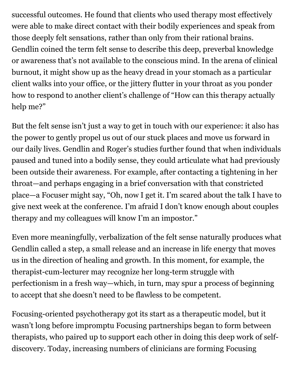successful outcomes. He found that clients who used therapy most effectively were able to make direct contact with their bodily experiences and speak from those deeply felt sensations, rather than only from their rational brains. Gendlin coined the term felt sense to describe this deep, preverbal knowledge or awareness that's not available to the conscious mind. In the arena of clinical burnout, it might show up as the heavy dread in your stomach as a particular client walks into your office, or the jittery flutter in your throat as you ponder how to respond to another client's challenge of "How can this therapy actually help me?"

But the felt sense isn't just a way to get in touch with our experience: it also has the power to gently propel us out of our stuck places and move us forward in our daily lives. Gendlin and Roger's studies further found that when individuals paused and tuned into a bodily sense, they could articulate what had previously been outside their awareness. For example, after contacting a tightening in her throat—and perhaps engaging in a brief conversation with that constricted place—a Focuser might say, "Oh, now I get it. I'm scared about the talk I have to give next week at the conference. I'm afraid I don't know enough about couples therapy and my colleagues will know I'm an impostor."

Even more meaningfully, verbalization of the felt sense naturally produces what Gendlin called a step, a small release and an increase in life energy that moves us in the direction of healing and growth. In this moment, for example, the therapist-cum-lecturer may recognize her long-term struggle with perfectionism in a fresh way—which, in turn, may spur a process of beginning to accept that she doesn't need to be flawless to be competent.

Focusing-oriented psychotherapy got its start as a therapeutic model, but it wasn't long before impromptu Focusing partnerships began to form between therapists, who paired up to support each other in doing this deep work of selfdiscovery. Today, increasing numbers of clinicians are forming Focusing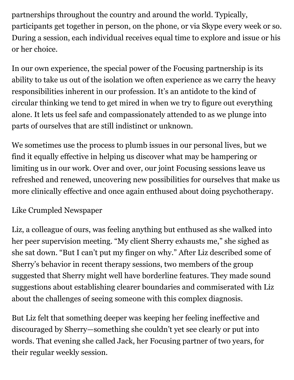partnerships throughout the country and around the world. Typically, participants get together in person, on the phone, or via Skype every week or so. During a session, each individual receives equal time to explore and issue or his or her choice.

In our own experience, the special power of the Focusing partnership is its ability to take us out of the isolation we often experience as we carry the heavy responsibilities inherent in our profession. It's an antidote to the kind of circular thinking we tend to get mired in when we try to figure out everything alone. It lets us feel safe and compassionately attended to as we plunge into parts of ourselves that are still indistinct or unknown.

We sometimes use the process to plumb issues in our personal lives, but we find it equally effective in helping us discover what may be hampering or limiting us in our work. Over and over, our joint Focusing sessions leave us refreshed and renewed, uncovering new possibilities for ourselves that make us more clinically effective and once again enthused about doing psychotherapy.

#### Like Crumpled Newspaper

Liz, a colleague of ours, was feeling anything but enthused as she walked into her peer supervision meeting. "My client Sherry exhausts me," she sighed as she sat down. "But I can't put my finger on why." After Liz described some of Sherry's behavior in recent therapy sessions, two members of the group suggested that Sherry might well have borderline features. They made sound suggestions about establishing clearer boundaries and commiserated with Liz about the challenges of seeing someone with this complex diagnosis.

But Liz felt that something deeper was keeping her feeling ineffective and discouraged by Sherry—something she couldn't yet see clearly or put into words. That evening she called Jack, her Focusing partner of two years, for their regular weekly session.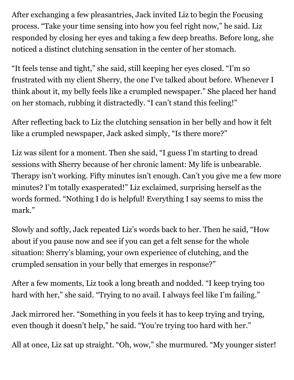After exchanging a few pleasantries, Jack invited Liz to begin the Focusing process. "Take your time sensing into how you feel right now," he said. Liz responded by closing her eyes and taking a few deep breaths. Before long, she noticed a distinct clutching sensation in the center of her stomach.

"It feels tense and tight," she said, still keeping her eyes closed. "I'm so frustrated with my client Sherry, the one I've talked about before. Whenever I think about it, my belly feels like a crumpled newspaper." She placed her hand on her stomach, rubbing it distractedly. "I can't stand this feeling!"

After reflecting back to Liz the clutching sensation in her belly and how it felt like a crumpled newspaper, Jack asked simply, "Is there more?"

Liz was silent for a moment. Then she said, "I guess I'm starting to dread sessions with Sherry because of her chronic lament: My life is unbearable. Therapy isn't working. Fifty minutes isn't enough. Can't you give me a few more minutes? I'm totally exasperated!" Liz exclaimed, surprising herself as the words formed. "Nothing I do is helpful! Everything I say seems to miss the mark."

Slowly and softly, Jack repeated Liz's words back to her. Then he said, "How about if you pause now and see if you can get a felt sense for the whole situation: Sherry's blaming, your own experience of clutching, and the crumpled sensation in your belly that emerges in response?"

After a few moments, Liz took a long breath and nodded. "I keep trying too hard with her," she said. "Trying to no avail. I always feel like I'm failing."

Jack mirrored her. "Something in you feels it has to keep trying and trying, even though it doesn't help," he said. "You're trying too hard with her."

All at once, Liz sat up straight. "Oh, wow," she murmured. "My younger sister!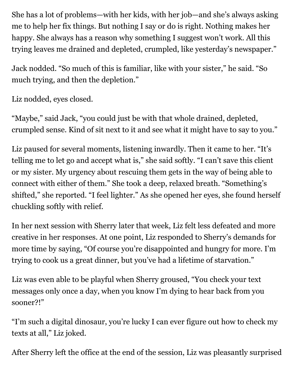She has a lot of problems—with her kids, with her job—and she's always asking me to help her fix things. But nothing I say or do is right. Nothing makes her happy. She always has a reason why something I suggest won't work. All this trying leaves me drained and depleted, crumpled, like yesterday's newspaper."

Jack nodded. "So much of this is familiar, like with your sister," he said. "So much trying, and then the depletion."

Liz nodded, eyes closed.

"Maybe," said Jack, "you could just be with that whole drained, depleted, crumpled sense. Kind of sit next to it and see what it might have to say to you."

Liz paused for several moments, listening inwardly. Then it came to her. "It's telling me to let go and accept what is," she said softly. "I can't save this client or my sister. My urgency about rescuing them gets in the way of being able to connect with either of them." She took a deep, relaxed breath. "Something's shifted," she reported. "I feel lighter." As she opened her eyes, she found herself chuckling softly with relief.

In her next session with Sherry later that week, Liz felt less defeated and more creative in her responses. At one point, Liz responded to Sherry's demands for more time by saying, "Of course you're disappointed and hungry for more. I'm trying to cook us a great dinner, but you've had a lifetime of starvation."

Liz was even able to be playful when Sherry groused, "You check your text messages only once a day, when you know I'm dying to hear back from you sooner?!"

"I'm such a digital dinosaur, you're lucky I can ever figure out how to check my texts at all," Liz joked.

After Sherry left the office at the end of the session, Liz was pleasantly surprised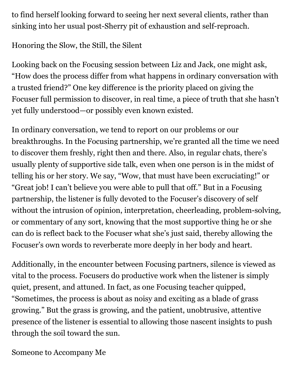to find herself looking forward to seeing her next several clients, rather than sinking into her usual post-Sherry pit of exhaustion and self-reproach.

Honoring the Slow, the Still, the Silent

Looking back on the Focusing session between Liz and Jack, one might ask, "How does the process differ from what happens in ordinary conversation with a trusted friend?" One key difference is the priority placed on giving the Focuser full permission to discover, in real time, a piece of truth that she hasn't yet fully understood—or possibly even known existed.

In ordinary conversation, we tend to report on our problems or our breakthroughs. In the Focusing partnership, we're granted all the time we need to discover them freshly, right then and there. Also, in regular chats, there's usually plenty of supportive side talk, even when one person is in the midst of telling his or her story. We say, "Wow, that must have been excruciating!" or "Great job! I can't believe you were able to pull that off." But in a Focusing partnership, the listener is fully devoted to the Focuser's discovery of self without the intrusion of opinion, interpretation, cheerleading, problem-solving, or commentary of any sort, knowing that the most supportive thing he or she can do is reflect back to the Focuser what she's just said, thereby allowing the Focuser's own words to reverberate more deeply in her body and heart.

Additionally, in the encounter between Focusing partners, silence is viewed as vital to the process. Focusers do productive work when the listener is simply quiet, present, and attuned. In fact, as one Focusing teacher quipped, "Sometimes, the process is about as noisy and exciting as a blade of grass growing." But the grass is growing, and the patient, unobtrusive, attentive presence of the listener is essential to allowing those nascent insights to push through the soil toward the sun.

Someone to Accompany Me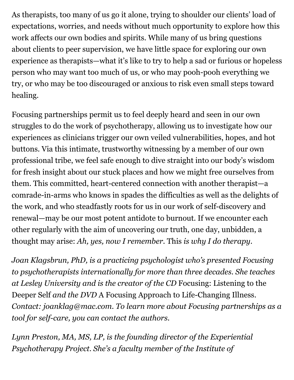As therapists, too many of us go it alone, trying to shoulder our clients' load of expectations, worries, and needs without much opportunity to explore how this work affects our own bodies and spirits. While many of us bring questions about clients to peer supervision, we have little space for exploring our own experience as therapists—what it's like to try to help a sad or furious or hopeless person who may want too much of us, or who may pooh-pooh everything we try, or who may be too discouraged or anxious to risk even small steps toward healing.

Focusing partnerships permit us to feel deeply heard and seen in our own struggles to do the work of psychotherapy, allowing us to investigate how our experiences as clinicians trigger our own veiled vulnerabilities, hopes, and hot buttons. Via this intimate, trustworthy witnessing by a member of our own professional tribe, we feel safe enough to dive straight into our body's wisdom for fresh insight about our stuck places and how we might free ourselves from them. This committed, heart-centered connection with another therapist—a comrade-in-arms who knows in spades the difficulties as well as the delights of the work, and who steadfastly roots for us in our work of self-discovery and renewal—may be our most potent antidote to burnout. If we encounter each other regularly with the aim of uncovering our truth, one day, unbidden, a thought may arise: *Ah, yes, now I remember.* This *is why I do therapy*.

*Joan Klagsbrun, PhD, is a practicing psychologist who's presented Focusing to psychotherapists internationally for more than three decades. She teaches at Lesley University and is the creator of the CD* Focusing: Listening to the Deeper Self *and the DVD* A Focusing Approach to Life-Changing Illness. *Contact: joanklag@mac.com. To learn more about Focusing partnerships as a tool for self-care, you can contact the authors.*

*Lynn Preston, MA, MS, LP, is the founding director of the Experiential Psychotherapy Project. She's a faculty member of the Institute of*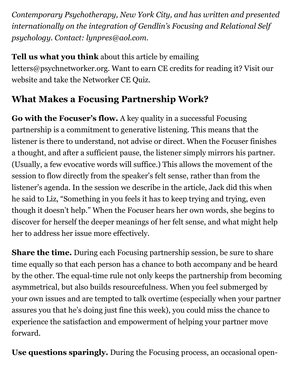*Contemporary Psychotherapy, New York City, and has written and presented internationally on the integration of Gendlin's Focusing and Relational Self psychology. Contact: lynpres@aol.com.*

**Tell us what you think** about this article by emailing letters@psychnetworker.org. Want to earn CE credits for reading it? Visit our website and take the Networker CE Quiz.

## **What Makes a Focusing Partnership Work?**

**Go with the Focuser's flow.** A key quality in a successful Focusing partnership is a commitment to generative listening. This means that the listener is there to understand, not advise or direct. When the Focuser finishes a thought, and after a sufficient pause, the listener simply mirrors his partner. (Usually, a few evocative words will suffice.) This allows the movement of the session to flow directly from the speaker's felt sense, rather than from the listener's agenda. In the session we describe in the article, Jack did this when he said to Liz, "Something in you feels it has to keep trying and trying, even though it doesn't help." When the Focuser hears her own words, she begins to discover for herself the deeper meanings of her felt sense, and what might help her to address her issue more effectively.

**Share the time.** During each Focusing partnership session, be sure to share time equally so that each person has a chance to both accompany and be heard by the other. The equal-time rule not only keeps the partnership from becoming asymmetrical, but also builds resourcefulness. When you feel submerged by your own issues and are tempted to talk overtime (especially when your partner assures you that he's doing just fine this week), you could miss the chance to experience the satisfaction and empowerment of helping your partner move forward.

**Use questions sparingly.** During the Focusing process, an occasional open-